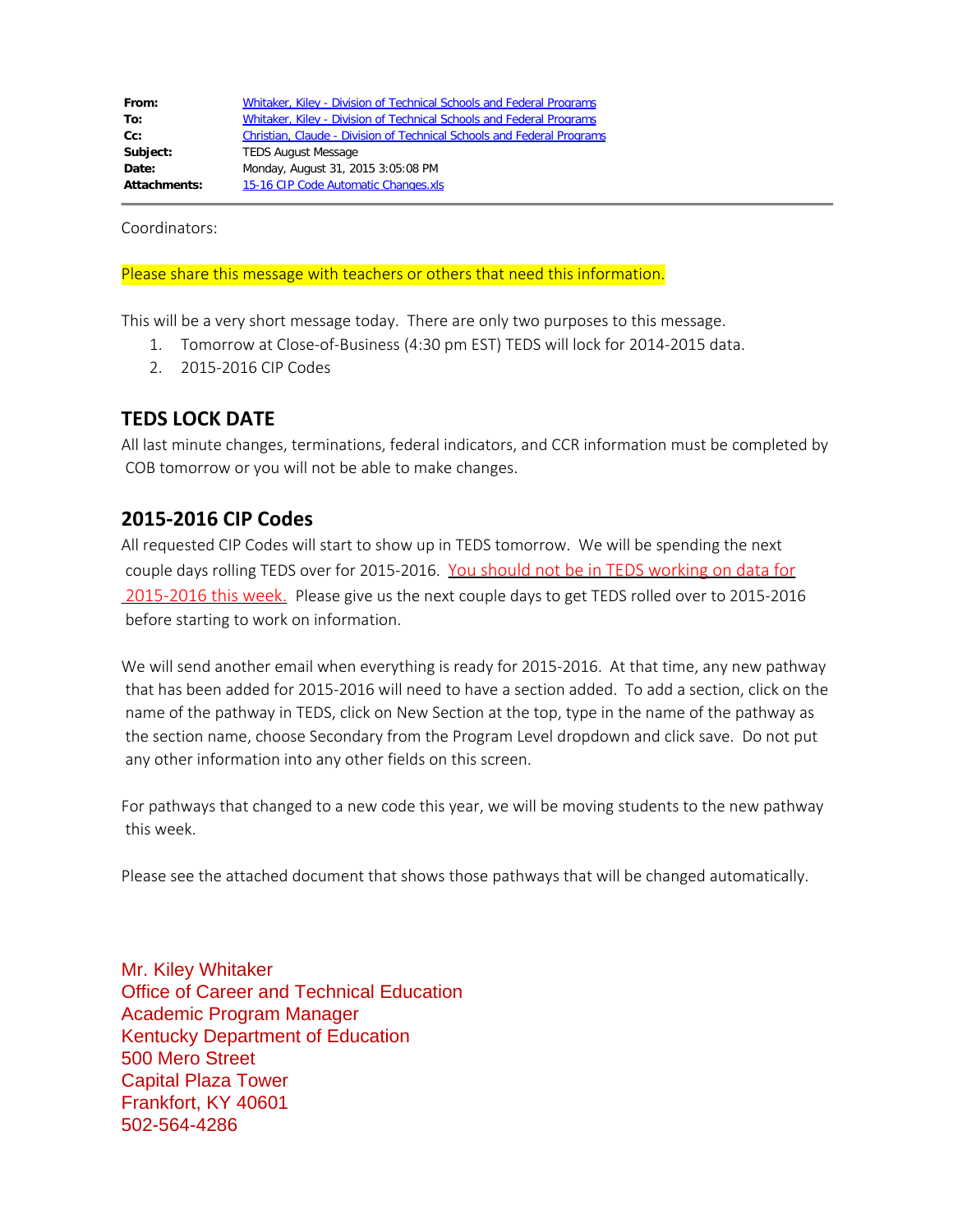| Whitaker, Kiley - Division of Technical Schools and Federal Programs   |  |  |
|------------------------------------------------------------------------|--|--|
| Whitaker, Kiley - Division of Technical Schools and Federal Programs   |  |  |
| Christian, Claude - Division of Technical Schools and Federal Programs |  |  |
| <b>TEDS August Message</b>                                             |  |  |
| Monday, August 31, 2015 3:05:08 PM                                     |  |  |
| 15-16 CIP Code Automatic Changes.xls<br><b>Attachments:</b>            |  |  |
|                                                                        |  |  |

Coordinators:

## Please share this message with teachers or others that need this information.

This will be a very short message today. There are only two purposes to this message.

- 1. Tomorrow at Close-of-Business (4:30 pm EST) TEDS will lock for 2014-2015 data.
- 2. 2015-2016 CIP Codes

## **TEDS LOCK DATE**

All last minute changes, terminations, federal indicators, and CCR information must be completed by COB tomorrow or you will not be able to make changes.

## **2015-2016 CIP Codes**

All requested CIP Codes will start to show up in TEDS tomorrow. We will be spending the next couple days rolling TEDS over for 2015-2016. You should not be in TEDS working on data for 2015-2016 this week. Please give us the next couple days to get TEDS rolled over to 2015-2016 before starting to work on information.

We will send another email when everything is ready for 2015-2016. At that time, any new pathway that has been added for 2015-2016 will need to have a section added. To add a section, click on the name of the pathway in TEDS, click on New Section at the top, type in the name of the pathway as the section name, choose Secondary from the Program Level dropdown and click save. Do not put any other information into any other fields on this screen.

For pathways that changed to a new code this year, we will be moving students to the new pathway this week.

Please see the attached document that shows those pathways that will be changed automatically.

Mr. Kiley Whitaker Office of Career and Technical Education Academic Program Manager Kentucky Department of Education 500 Mero Street Capital Plaza Tower Frankfort, KY 40601 502-564-4286